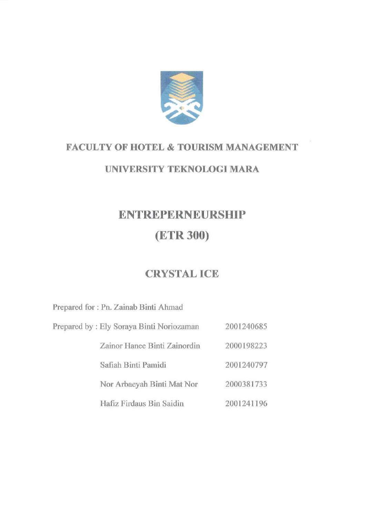

## **FACULTY OF HOTEL & TOURISM MANAGEMENT**

## **UNIVERSITY TEKNOLOGI MARA**

# **ENTREPERNEURSHIP (ETR 300)**

# **CRYSTAL ICE**

Prepared for : Pn. Zainab Binti Ahmad

Prepared by : Ely Soraya Binti Noriozaman 2001240685

> Zainor Hanee Binti Zainordin 2000198223

> > 2001240797

Safiah Binti Pamidi

Nor Arbaeyah Binti Mat Nor 2000381733

Hafiz Firdaus Bin Saidin 2001241196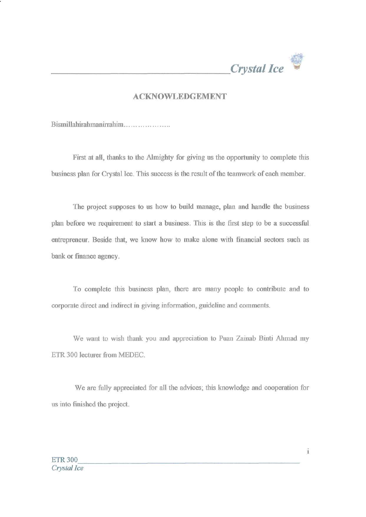

#### ACKNOWLEDGEMENT

Bismillahirahmanirrahim

First at all, thanks to the Almighty for giving us the opportunity to complete this business plan for Crystal Ice. This success is the result of the teamwork of each member.

The project supposes to us how to build manage, plan and handle the business plan before we requirement to start a business. This is the first step to be a successful entrepreneur. Beside that, we know how to make alone with financial sectors such as bank or finance agency.

To complete this business plan, there are many people to contribute and to corporate direct and indirect in giving information, guideline and comments.

We want to wish thank you and appreciation to Puan Zainab Binti Ahmad my ETR 300 lecturer from MEDEC.

We are fully appreciated for all the advices; this knowledge and cooperation for us into finished the project.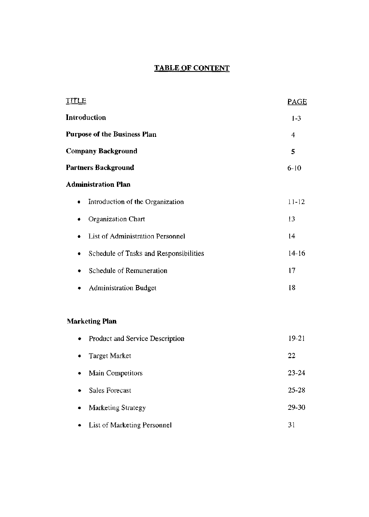### **TABLE OF CONTENT**

| TITLE                                       | <b>PAGE</b> |
|---------------------------------------------|-------------|
| Introduction                                | $1-3$       |
| <b>Purpose of the Business Plan</b>         | 4           |
| <b>Company Background</b>                   | 5           |
| <b>Partners Background</b>                  | $6-10$      |
| <b>Administration Plan</b>                  |             |
| Introduction of the Organization<br>٠       | $11 - 12$   |
| Organization Chart                          | 13          |
| List of Administration Personnel            | 14          |
| Schedule of Tasks and Responsibilities<br>۰ | $14 - 16$   |
| Schedule of Remuneration                    | 17          |
| Administration Budget<br>٠                  | 18          |
| <b>Marketing Plan</b>                       |             |
| Product and Service Description<br>٠        | 19-21       |
| Target Market<br>۰                          | 22          |
| Main Competitors<br>٠                       | 23-24       |
| Sales Forecast                              | $25 - 28$   |
| Marketing Strategy                          | 29-30       |
| List of Marketing Personnel<br>٠            | 31          |
|                                             |             |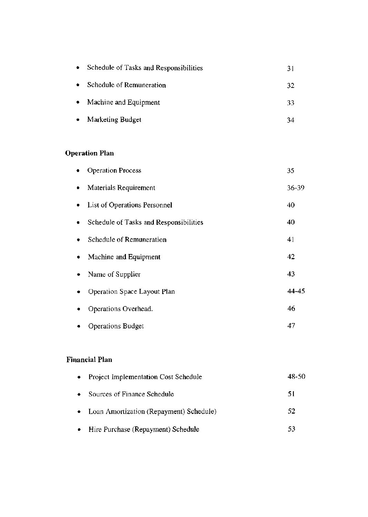| $\bullet$ | Schedule of Tasks and Responsibilities | 31 |
|-----------|----------------------------------------|----|
|           | Schedule of Remuneration               | 32 |
| ۰         | Machine and Equipment                  | 33 |
|           | Marketing Budget                       | 34 |

## **Operation Plan**

|   | <b>Operation Process</b>               | 35    |
|---|----------------------------------------|-------|
| ٠ | Materials Requirement                  | 36-39 |
| ٠ | List of Operations Personnel           | 40    |
| ٠ | Schedule of Tasks and Responsibilities | 40    |
| ٠ | Schedule of Remuneration               | 41    |
| ۰ | Machine and Equipment                  | 42    |
| ٠ | Name of Supplier                       | 43    |
|   | Operation Space Layout Plan            | 44-45 |
|   | Operations Overhead.                   | 46    |
|   | <b>Operations Budget</b>               | 47    |

## **Financial Plan**

| • Project Implementation Cost Schedule       | 48-50 |
|----------------------------------------------|-------|
| • Sources of Finance Schedule                | 51    |
| • Loan Amortization (Repayment) Schedule)    | 52    |
| $\bullet$ Hire Purchase (Repayment) Schedule | -53   |